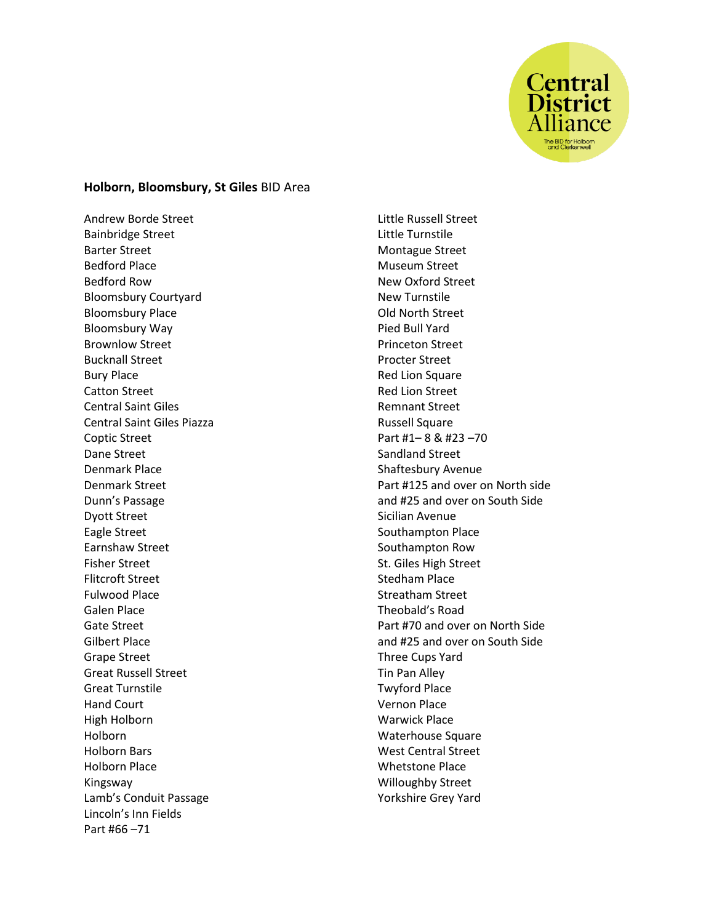

## **Holborn, Bloomsbury, St Giles** BID Area

Andrew Borde Street Bainbridge Street Barter Street Bedford Place Bedford Row Bloomsbury Courtyard Bloomsbury Place Bloomsbury Way Brownlow Street Bucknall Street Bury Place Catton Street Central Saint Giles Central Saint Giles Piazza Coptic Street Dane Street Denmark Place Denmark Street Dunn's Passage Dyott Street Eagle Street Earnshaw Street Fisher Street Flitcroft Street Fulwood Place Galen Place Gate Street Gilbert Place Grape Street Great Russell Street Great Turnstile Hand Court High Holborn Holborn Holborn Bars Holborn Place Kingsway Lamb's Conduit Passage Lincoln's Inn Fields Part #66 –71

Little Russell Street Little Turnstile Montague Street Museum Street New Oxford Street New Turnstile Old North Street Pied Bull Yard Princeton Street Procter Street Red Lion Square Red Lion Street Remnant Street Russell Square Part #1– 8 & #23 –70 Sandland Street Shaftesbury Avenue Part #125 and over on North side and #25 and over on South Side Sicilian Avenue Southampton Place Southampton Row St. Giles High Street Stedham Place Streatham Street Theobald's Road Part #70 and over on North Side and #25 and over on South Side Three Cups Yard Tin Pan Alley Twyford Place Vernon Place Warwick Place Waterhouse Square West Central Street Whetstone Place Willoughby Street Yorkshire Grey Yard